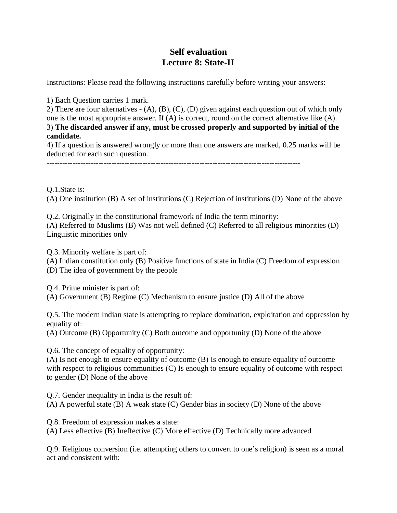## **Self evaluation Lecture 8: State-II**

Instructions: Please read the following instructions carefully before writing your answers:

1) Each Question carries 1 mark.

2) There are four alternatives - (A), (B), (C), (D) given against each question out of which only one is the most appropriate answer. If (A) is correct, round on the correct alternative like (A). 3) **The discarded answer if any, must be crossed properly and supported by initial of the candidate.**

4) If a question is answered wrongly or more than one answers are marked, 0.25 marks will be deducted for each such question.

--------------------------------------------------------------------------------------------------

Q.1.State is:

(A) One institution (B) A set of institutions (C) Rejection of institutions (D) None of the above

Q.2. Originally in the constitutional framework of India the term minority: (A) Referred to Muslims (B) Was not well defined (C) Referred to all religious minorities (D) Linguistic minorities only

Q.3. Minority welfare is part of:

(A) Indian constitution only (B) Positive functions of state in India (C) Freedom of expression (D) The idea of government by the people

Q.4. Prime minister is part of:

(A) Government (B) Regime (C) Mechanism to ensure justice (D) All of the above

Q.5. The modern Indian state is attempting to replace domination, exploitation and oppression by equality of:

(A) Outcome (B) Opportunity (C) Both outcome and opportunity (D) None of the above

Q.6. The concept of equality of opportunity:

(A) Is not enough to ensure equality of outcome (B) Is enough to ensure equality of outcome with respect to religious communities (C) Is enough to ensure equality of outcome with respect to gender (D) None of the above

Q.7. Gender inequality in India is the result of:

(A) A powerful state (B) A weak state (C) Gender bias in society (D) None of the above

Q.8. Freedom of expression makes a state:

(A) Less effective (B) Ineffective (C) More effective (D) Technically more advanced

Q.9. Religious conversion (i.e. attempting others to convert to one's religion) is seen as a moral act and consistent with: